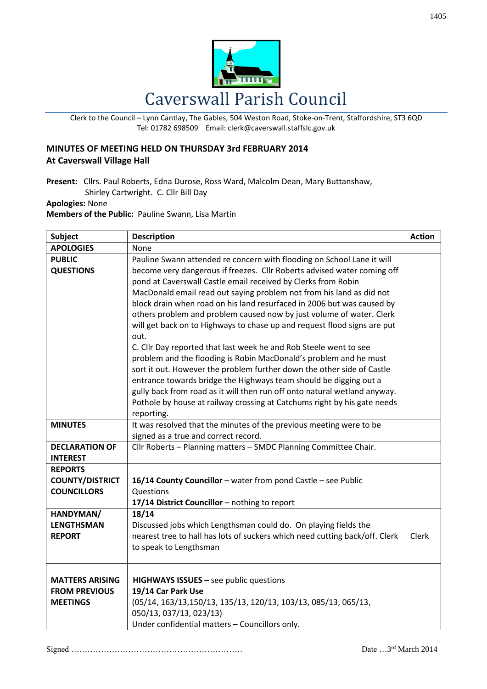

Clerk to the Council – Lynn Cantlay, The Gables, 504 Weston Road, Stoke-on-Trent, Staffordshire, ST3 6QD Tel: 01782 698509 Email: clerk@caverswall.staffslc.gov.uk

## **MINUTES OF MEETING HELD ON THURSDAY 3rd FEBRUARY 2014 At Caverswall Village Hall**

**Present:** Cllrs. Paul Roberts, Edna Durose, Ross Ward, Malcolm Dean, Mary Buttanshaw, Shirley Cartwright. C. Cllr Bill Day

## **Apologies:** None

**Members of the Public:** Pauline Swann, Lisa Martin

| <b>Subject</b>         | <b>Description</b>                                                          | <b>Action</b> |
|------------------------|-----------------------------------------------------------------------------|---------------|
| <b>APOLOGIES</b>       | None                                                                        |               |
| <b>PUBLIC</b>          | Pauline Swann attended re concern with flooding on School Lane it will      |               |
| <b>QUESTIONS</b>       | become very dangerous if freezes. Cllr Roberts advised water coming off     |               |
|                        | pond at Caverswall Castle email received by Clerks from Robin               |               |
|                        | MacDonald email read out saying problem not from his land as did not        |               |
|                        | block drain when road on his land resurfaced in 2006 but was caused by      |               |
|                        | others problem and problem caused now by just volume of water. Clerk        |               |
|                        | will get back on to Highways to chase up and request flood signs are put    |               |
|                        | out.                                                                        |               |
|                        | C. Cllr Day reported that last week he and Rob Steele went to see           |               |
|                        | problem and the flooding is Robin MacDonald's problem and he must           |               |
|                        | sort it out. However the problem further down the other side of Castle      |               |
|                        | entrance towards bridge the Highways team should be digging out a           |               |
|                        | gully back from road as it will then run off onto natural wetland anyway.   |               |
|                        | Pothole by house at railway crossing at Catchums right by his gate needs    |               |
|                        | reporting.                                                                  |               |
| <b>MINUTES</b>         | It was resolved that the minutes of the previous meeting were to be         |               |
|                        | signed as a true and correct record.                                        |               |
| <b>DECLARATION OF</b>  | Cllr Roberts - Planning matters - SMDC Planning Committee Chair.            |               |
| <b>INTEREST</b>        |                                                                             |               |
| <b>REPORTS</b>         |                                                                             |               |
| <b>COUNTY/DISTRICT</b> | 16/14 County Councillor - water from pond Castle - see Public               |               |
| <b>COUNCILLORS</b>     | Questions                                                                   |               |
|                        | 17/14 District Councillor - nothing to report                               |               |
| HANDYMAN/              | 18/14                                                                       |               |
| <b>LENGTHSMAN</b>      | Discussed jobs which Lengthsman could do. On playing fields the             |               |
| <b>REPORT</b>          | nearest tree to hall has lots of suckers which need cutting back/off. Clerk | Clerk         |
|                        | to speak to Lengthsman                                                      |               |
|                        |                                                                             |               |
|                        |                                                                             |               |
| <b>MATTERS ARISING</b> | <b>HIGHWAYS ISSUES</b> $-$ see public questions                             |               |
| <b>FROM PREVIOUS</b>   | 19/14 Car Park Use                                                          |               |
| <b>MEETINGS</b>        | (05/14, 163/13, 150/13, 135/13, 120/13, 103/13, 085/13, 065/13,             |               |
|                        | 050/13, 037/13, 023/13)                                                     |               |
|                        | Under confidential matters - Councillors only.                              |               |

Signed ……………………………………………………… Date …3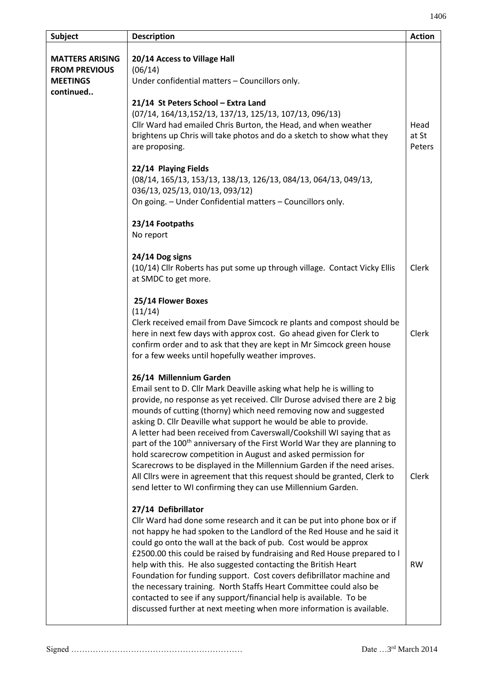| <b>Subject</b>                                                                 | <b>Description</b>                                                                                                                                                                                                                                                                                                                                                                                                                                                                                                                                                                                                                                                                                                                                                                                                                                                                                               | <b>Action</b>           |
|--------------------------------------------------------------------------------|------------------------------------------------------------------------------------------------------------------------------------------------------------------------------------------------------------------------------------------------------------------------------------------------------------------------------------------------------------------------------------------------------------------------------------------------------------------------------------------------------------------------------------------------------------------------------------------------------------------------------------------------------------------------------------------------------------------------------------------------------------------------------------------------------------------------------------------------------------------------------------------------------------------|-------------------------|
| <b>MATTERS ARISING</b><br><b>FROM PREVIOUS</b><br><b>MEETINGS</b><br>continued | 20/14 Access to Village Hall<br>(06/14)<br>Under confidential matters - Councillors only.<br>21/14 St Peters School - Extra Land<br>(07/14, 164/13, 152/13, 137/13, 125/13, 107/13, 096/13)<br>Cllr Ward had emailed Chris Burton, the Head, and when weather<br>brightens up Chris will take photos and do a sketch to show what they<br>are proposing.<br>22/14 Playing Fields<br>(08/14, 165/13, 153/13, 138/13, 126/13, 084/13, 064/13, 049/13,<br>036/13, 025/13, 010/13, 093/12)<br>On going. - Under Confidential matters - Councillors only.<br>23/14 Footpaths                                                                                                                                                                                                                                                                                                                                          | Head<br>at St<br>Peters |
|                                                                                | No report<br>24/14 Dog signs<br>(10/14) Cllr Roberts has put some up through village. Contact Vicky Ellis<br>at SMDC to get more.<br>25/14 Flower Boxes<br>(11/14)<br>Clerk received email from Dave Simcock re plants and compost should be<br>here in next few days with approx cost. Go ahead given for Clerk to                                                                                                                                                                                                                                                                                                                                                                                                                                                                                                                                                                                              | Clerk<br>Clerk          |
|                                                                                | confirm order and to ask that they are kept in Mr Simcock green house<br>for a few weeks until hopefully weather improves.<br>26/14 Millennium Garden<br>Email sent to D. Cllr Mark Deaville asking what help he is willing to<br>provide, no response as yet received. Cllr Durose advised there are 2 big<br>mounds of cutting (thorny) which need removing now and suggested<br>asking D. Cllr Deaville what support he would be able to provide.<br>A letter had been received from Caverswall/Cookshill WI saying that as<br>part of the 100 <sup>th</sup> anniversary of the First World War they are planning to<br>hold scarecrow competition in August and asked permission for<br>Scarecrows to be displayed in the Millennium Garden if the need arises.<br>All Cllrs were in agreement that this request should be granted, Clerk to<br>send letter to WI confirming they can use Millennium Garden. | Clerk                   |
|                                                                                | 27/14 Defibrillator<br>Cllr Ward had done some research and it can be put into phone box or if<br>not happy he had spoken to the Landlord of the Red House and he said it<br>could go onto the wall at the back of pub. Cost would be approx<br>£2500.00 this could be raised by fundraising and Red House prepared to I<br>help with this. He also suggested contacting the British Heart<br>Foundation for funding support. Cost covers defibrillator machine and<br>the necessary training. North Staffs Heart Committee could also be<br>contacted to see if any support/financial help is available. To be<br>discussed further at next meeting when more information is available.                                                                                                                                                                                                                         | <b>RW</b>               |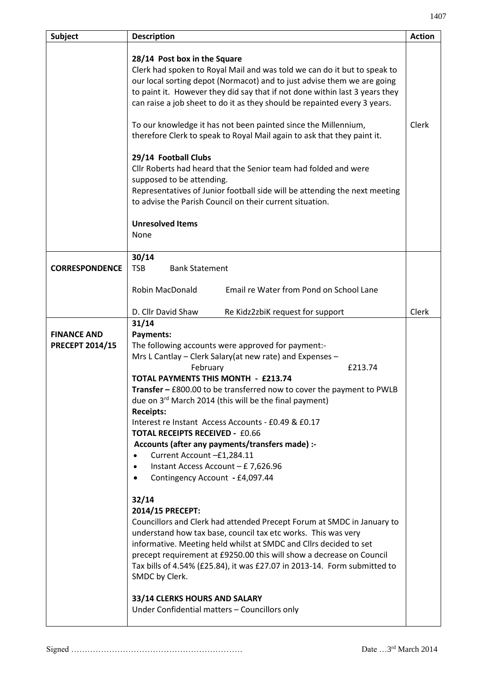| Subject                                      | <b>Description</b>                                                                                                                                                                                                                                                                                                                                                                                                                                                                                                                                                                                                                                                                                                                                                                                                                                                                                                                                                                                                                                                                                                                               | <b>Action</b> |
|----------------------------------------------|--------------------------------------------------------------------------------------------------------------------------------------------------------------------------------------------------------------------------------------------------------------------------------------------------------------------------------------------------------------------------------------------------------------------------------------------------------------------------------------------------------------------------------------------------------------------------------------------------------------------------------------------------------------------------------------------------------------------------------------------------------------------------------------------------------------------------------------------------------------------------------------------------------------------------------------------------------------------------------------------------------------------------------------------------------------------------------------------------------------------------------------------------|---------------|
|                                              | 28/14 Post box in the Square<br>Clerk had spoken to Royal Mail and was told we can do it but to speak to<br>our local sorting depot (Normacot) and to just advise them we are going<br>to paint it. However they did say that if not done within last 3 years they<br>can raise a job sheet to do it as they should be repainted every 3 years.<br>To our knowledge it has not been painted since the Millennium,<br>therefore Clerk to speak to Royal Mail again to ask that they paint it.<br>29/14 Football Clubs<br>Cllr Roberts had heard that the Senior team had folded and were<br>supposed to be attending.<br>Representatives of Junior football side will be attending the next meeting<br>to advise the Parish Council on their current situation.<br><b>Unresolved Items</b><br>None                                                                                                                                                                                                                                                                                                                                                | Clerk         |
| <b>CORRESPONDENCE</b>                        | 30/14<br><b>Bank Statement</b><br><b>TSB</b><br>Robin MacDonald<br>Email re Water from Pond on School Lane                                                                                                                                                                                                                                                                                                                                                                                                                                                                                                                                                                                                                                                                                                                                                                                                                                                                                                                                                                                                                                       |               |
|                                              |                                                                                                                                                                                                                                                                                                                                                                                                                                                                                                                                                                                                                                                                                                                                                                                                                                                                                                                                                                                                                                                                                                                                                  |               |
|                                              | D. Cllr David Shaw<br>Re Kidz2zbiK request for support                                                                                                                                                                                                                                                                                                                                                                                                                                                                                                                                                                                                                                                                                                                                                                                                                                                                                                                                                                                                                                                                                           | Clerk         |
| <b>FINANCE AND</b><br><b>PRECEPT 2014/15</b> | 31/14<br>Payments:<br>The following accounts were approved for payment:-<br>Mrs L Cantlay - Clerk Salary (at new rate) and Expenses -<br>£213.74<br>February<br><b>TOTAL PAYMENTS THIS MONTH - £213.74</b><br>Transfer - £800.00 to be transferred now to cover the payment to PWLB<br>due on 3rd March 2014 (this will be the final payment)<br><b>Receipts:</b><br>Interest re Instant Access Accounts - £0.49 & £0.17<br><b>TOTAL RECEIPTS RECEIVED - £0.66</b><br>Accounts (after any payments/transfers made) :-<br>Current Account - £1,284.11<br>Instant Access Account - £ 7,626.96<br>$\bullet$<br>Contingency Account - £4,097.44<br>32/14<br>2014/15 PRECEPT:<br>Councillors and Clerk had attended Precept Forum at SMDC in January to<br>understand how tax base, council tax etc works. This was very<br>informative. Meeting held whilst at SMDC and Cllrs decided to set<br>precept requirement at £9250.00 this will show a decrease on Council<br>Tax bills of 4.54% (£25.84), it was £27.07 in 2013-14. Form submitted to<br>SMDC by Clerk.<br>33/14 CLERKS HOURS AND SALARY<br>Under Confidential matters - Councillors only |               |